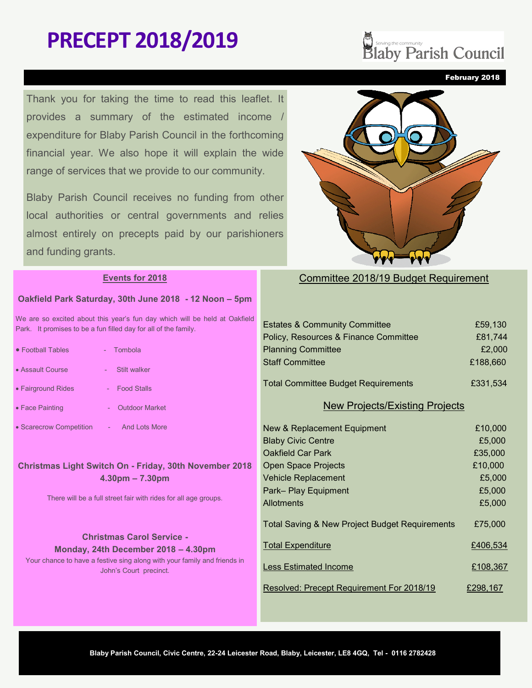# **PRECEPT 2018/2019**

Thank you for taking the time to read this leaflet. It provides a summary of the estimated income / expenditure for Blaby Parish Council in the forthcoming financial year. We also hope it will explain the wide range of services that we provide to our community.

Blaby Parish Council receives no funding from other local authorities or central governments and relies almost entirely on precepts paid by our parishioners and funding grants.

#### **Events for 2018**

#### **Oakfield Park Saturday, 30th June 2018 - 12 Noon – 5pm**

We are so excited about this year's fun day which will be held at Oakfield Park. It promises to be a fun filled day for all of the family.

| • Football Tables       | - Tombola                   |
|-------------------------|-----------------------------|
| • Assault Course        | Stilt walker                |
| • Fairground Rides      | <b>Food Stalls</b>          |
| $\bullet$ Face Painting | <b>Outdoor Market</b><br>÷, |

• Scarecrow Competition - And Lots More

## **Christmas Light Switch On - Friday, 30th November 2018 4.30pm – 7.30pm**

There will be a full street fair with rides for all age groups.

#### **Christmas Carol Service - Monday, 24th December 2018 – 4.30pm**

Your chance to have a festive sing along with your family and friends in John's Court precinct.

# Committee 2018/19 Budget Requirement

| <b>Estates &amp; Community Committee</b>   | £59,130  |
|--------------------------------------------|----------|
| Policy, Resources & Finance Committee      | £81,744  |
| <b>Planning Committee</b>                  | £2,000   |
| <b>Staff Committee</b>                     | £188,660 |
|                                            |          |
| <b>Total Committee Budget Requirements</b> | £331,534 |

#### New Projects/Existing Projects

| New & Replacement Equipment                               | £10,000  |
|-----------------------------------------------------------|----------|
| <b>Blaby Civic Centre</b>                                 | £5,000   |
| <b>Oakfield Car Park</b>                                  | £35,000  |
| <b>Open Space Projects</b>                                | £10,000  |
| <b>Vehicle Replacement</b>                                | £5,000   |
| Park-Play Equipment                                       | £5,000   |
| Allotments                                                | £5,000   |
| <b>Total Saving &amp; New Project Budget Requirements</b> | £75,000  |
| <b>Total Expenditure</b>                                  | £406,534 |
| <b>Less Estimated Income</b>                              | £108,367 |
| Resolved: Precept Requirement For 2018/19                 | £298.167 |



February 2018